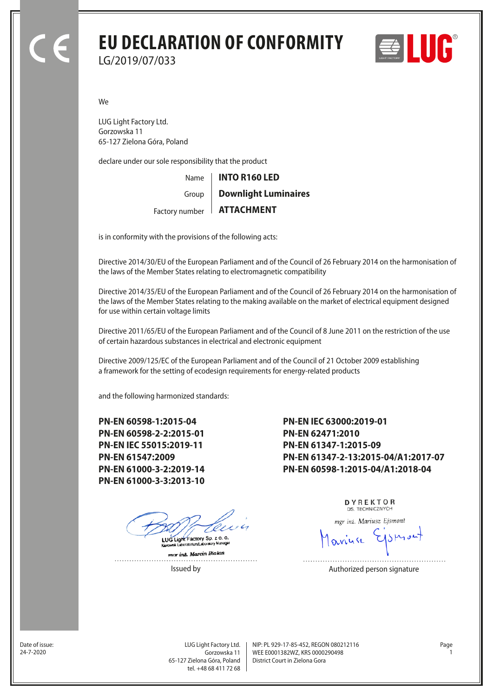## **EU DECLARATION OF CONFORMITY** LG/2019/07/033





We

LUG Light Factory Ltd. Gorzowska 11 65-127 Zielona Góra, Poland

declare under our sole responsibility that the product

Name Factory number **ATTACHMENT** Group **INTO R160 LED Downlight Luminaires**

is in conformity with the provisions of the following acts:

Directive 2014/30/EU of the European Parliament and of the Council of 26 February 2014 on the harmonisation of the laws of the Member States relating to electromagnetic compatibility

Directive 2014/35/EU of the European Parliament and of the Council of 26 February 2014 on the harmonisation of the laws of the Member States relating to the making available on the market of electrical equipment designed for use within certain voltage limits

Directive 2011/65/EU of the European Parliament and of the Council of 8 June 2011 on the restriction of the use of certain hazardous substances in electrical and electronic equipment

Directive 2009/125/EC of the European Parliament and of the Council of 21 October 2009 establishing a framework for the setting of ecodesign requirements for energy-related products

and the following harmonized standards:

**PN-EN 60598-1:2015-04 PN-EN 60598-2-2:2015-01 PN-EN IEC 55015:2019-11 PN-EN 61547:2009 PN-EN 61000-3-2:2019-14 PN-EN 61000-3-3:2013-10**

LUG Light Factory Sp. z o. o.

mar inz. Marcin Bialas . . . . . . . . . . . . . . . .

**PN-EN IEC 63000:2019-01 PN-EN 62471:2010 PN-EN 61347-1:2015-09 PN-EN 61347-2-13:2015-04/A1:2017-07 PN-EN 60598-1:2015-04/A1:2018-04**

> DYREKTOR DS. TECHNICZNYCH

mgr inż. Mariusz Ejsmont

Issued by **Authorized person signature** 

Date of issue:<br>24-7-2020

Gorzowska 11 65-127 Zielona Góra, Poland tel. +48 68 411 72 68

LUG Light Factory Ltd. Page NIP: PL 929-17-85-452, REGON 080212116 WEE E0001382WZ, KRS 0000290498 24-7-2020 1 District Court in Zielona Gora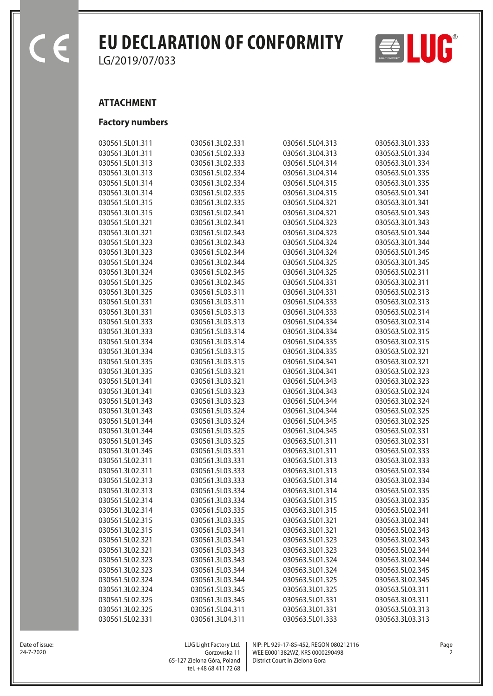$\epsilon$ 

## EU DECLARATION OF CONFORMITY  $\Rightarrow$  **LUC**

LG/2019/07/033

## **ATTACHMENT**

## **Factory numbers**

| 030561.5L01.311 | 030561.3L02.331 | 030561.5L04.313 | 030563.3L01.333 |
|-----------------|-----------------|-----------------|-----------------|
| 030561.3L01.311 | 030561.5L02.333 | 030561.3L04.313 | 030563.5L01.334 |
| 030561.5L01.313 | 030561.3L02.333 | 030561.5L04.314 | 030563.3L01.334 |
| 030561.3L01.313 | 030561.5L02.334 | 030561.3L04.314 | 030563.5L01.335 |
| 030561.5L01.314 | 030561.3L02.334 | 030561.5L04.315 | 030563.3L01.335 |
| 030561.3L01.314 | 030561.5L02.335 | 030561.3L04.315 | 030563.5L01.341 |
| 030561.5L01.315 | 030561.3L02.335 | 030561.5L04.321 | 030563.3L01.341 |
| 030561.3L01.315 | 030561.5L02.341 | 030561.3L04.321 | 030563.5L01.343 |
| 030561.5L01.321 | 030561.3L02.341 | 030561.5L04.323 | 030563.3L01.343 |
| 030561.3L01.321 | 030561.5L02.343 | 030561.3L04.323 | 030563.5L01.344 |
| 030561.5L01.323 | 030561.3L02.343 | 030561.5L04.324 | 030563.3L01.344 |
| 030561.3L01.323 | 030561.5L02.344 | 030561.3L04.324 | 030563.5L01.345 |
| 030561.5L01.324 | 030561.3L02.344 | 030561.5L04.325 | 030563.3L01.345 |
| 030561.3L01.324 | 030561.5L02.345 | 030561.3L04.325 | 030563.5L02.311 |
| 030561.5L01.325 | 030561.3L02.345 | 030561.5L04.331 | 030563.3L02.311 |
| 030561.3L01.325 | 030561.5L03.311 | 030561.3L04.331 | 030563.5L02.313 |
| 030561.5L01.331 | 030561.3L03.311 | 030561.5L04.333 | 030563.3L02.313 |
| 030561.3L01.331 | 030561.5L03.313 | 030561.3L04.333 | 030563.5L02.314 |
| 030561.5L01.333 | 030561.3L03.313 | 030561.5L04.334 | 030563.3L02.314 |
| 030561.3L01.333 | 030561.5L03.314 | 030561.3L04.334 | 030563.5L02.315 |
| 030561.5L01.334 | 030561.3L03.314 | 030561.5L04.335 | 030563.3L02.315 |
| 030561.3L01.334 | 030561.5L03.315 | 030561.3L04.335 | 030563.5L02.321 |
| 030561.5L01.335 | 030561.3L03.315 | 030561.5L04.341 | 030563.3L02.321 |
| 030561.3L01.335 | 030561.5L03.321 | 030561.3L04.341 | 030563.5L02.323 |
| 030561.5L01.341 | 030561.3L03.321 | 030561.5L04.343 | 030563.3L02.323 |
| 030561.3L01.341 | 030561.5L03.323 | 030561.3L04.343 | 030563.5L02.324 |
| 030561.5L01.343 | 030561.3L03.323 | 030561.5L04.344 | 030563.3L02.324 |
| 030561.3L01.343 | 030561.5L03.324 | 030561.3L04.344 | 030563.5L02.325 |
| 030561.5L01.344 | 030561.3L03.324 | 030561.5L04.345 | 030563.3L02.325 |
| 030561.3L01.344 | 030561.5L03.325 | 030561.3L04.345 | 030563.5L02.331 |
| 030561.5L01.345 | 030561.3L03.325 | 030563.5L01.311 | 030563.3L02.331 |
| 030561.3L01.345 | 030561.5L03.331 | 030563.3L01.311 | 030563.5L02.333 |
| 030561.5L02.311 | 030561.3L03.331 | 030563.5L01.313 | 030563.3L02.333 |
| 030561.3L02.311 | 030561.5L03.333 | 030563.3L01.313 | 030563.5L02.334 |
| 030561.5L02.313 | 030561.3L03.333 | 030563.5L01.314 | 030563.3L02.334 |
| 030561.3L02.313 | 030561.5L03.334 | 030563.3L01.314 | 030563.5L02.335 |
| 030561.5L02.314 | 030561.3L03.334 | 030563.5L01.315 | 030563.3L02.335 |
| 030561.3L02.314 | 030561.5L03.335 | 030563.3L01.315 | 030563.5L02.341 |
| 030561.5L02.315 | 030561.3L03.335 | 030563.5L01.321 | 030563.3L02.341 |
| 030561.3L02.315 | 030561.5L03.341 | 030563.3L01.321 | 030563.5L02.343 |
| 030561.5L02.321 | 030561.3L03.341 | 030563.5L01.323 | 030563.3L02.343 |
| 030561.3L02.321 | 030561.5L03.343 | 030563.3L01.323 | 030563.5L02.344 |
| 030561.5L02.323 | 030561.3L03.343 | 030563.5L01.324 | 030563.3L02.344 |
| 030561.3L02.323 | 030561.5L03.344 | 030563.3L01.324 | 030563.5L02.345 |
| 030561.5L02.324 | 030561.3L03.344 | 030563.5L01.325 | 030563.3L02.345 |
| 030561.3L02.324 | 030561.5L03.345 | 030563.3L01.325 | 030563.5L03.311 |
| 030561.5L02.325 | 030561.3L03.345 | 030563.5L01.331 | 030563.3L03.311 |
| 030561.3L02.325 | 030561.5L04.311 | 030563.3L01.331 | 030563.5L03.313 |
| 030561.5L02.331 | 030561.3L04.311 | 030563.5L01.333 | 030563.3L03.313 |



Date of issue:<br>24-7-2020

Gorzowska 11 65-127 Zielona Góra, Poland tel. +48 68 411 72 68

LUG Light Factory Ltd. Page NIP: PL 929-17-85-452, REGON 080212116 WEE E0001382WZ, KRS 0000290498 24-7-2020 2 District Court in Zielona Gora